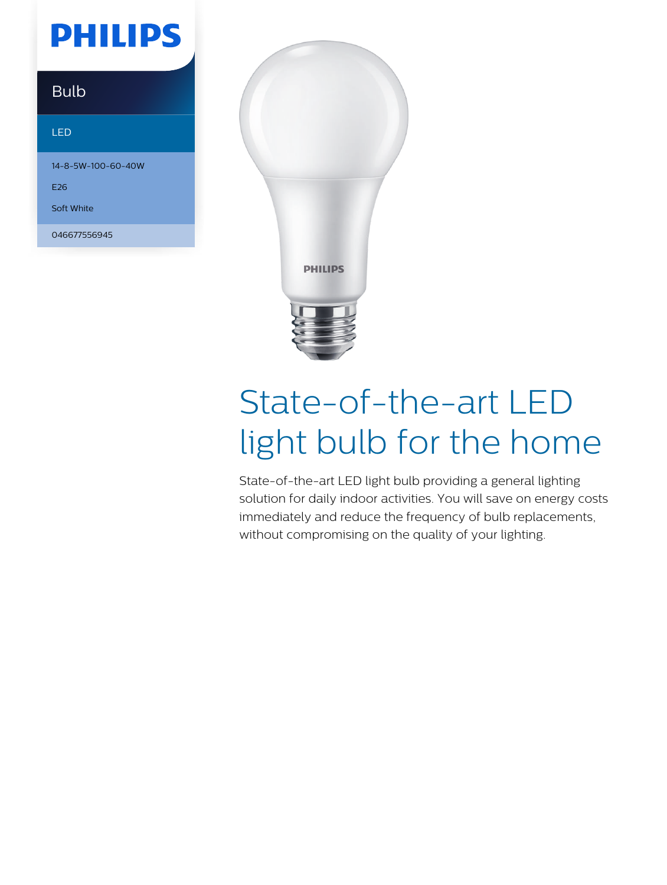## **PHILIPS**

### Bulb

#### LED

14-8-5W-100-60-40W

E26

Soft White

046677556945



# State-of-the-art LED light bulb for the home

State-of-the-art LED light bulb providing a general lighting solution for daily indoor activities. You will save on energy costs immediately and reduce the frequency of bulb replacements, without compromising on the quality of your lighting.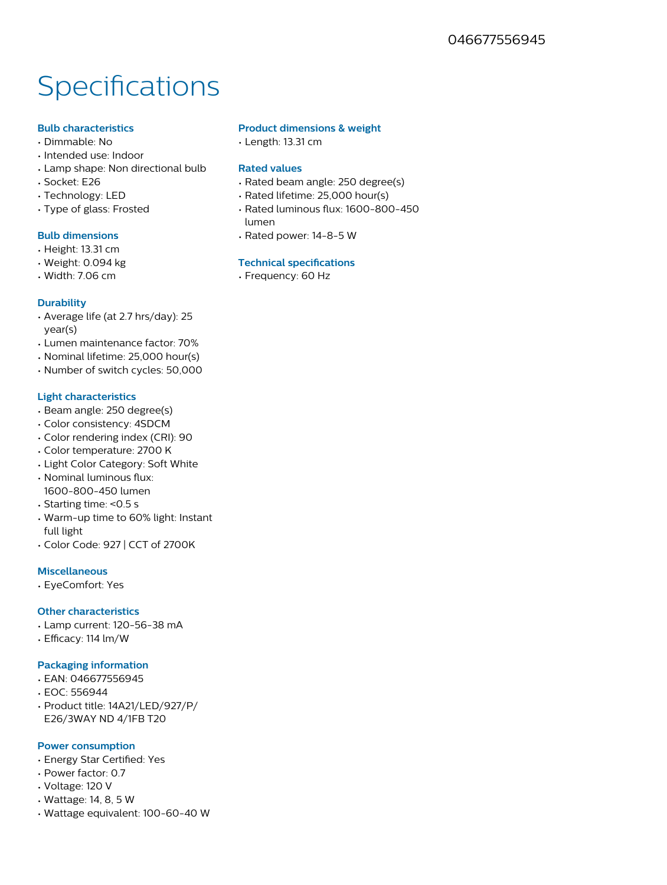### Specifications

#### **Bulb characteristics**

- Dimmable: No
- Intended use: Indoor
- Lamp shape: Non directional bulb
- Socket: E26
- Technology: LED
- Type of glass: Frosted

#### **Bulb dimensions**

- Height: 13.31 cm
- Weight: 0.094 kg
- Width: 7.06 cm

#### **Durability**

- Average life (at 2.7 hrs/day): 25 year(s)
- Lumen maintenance factor: 70%
- Nominal lifetime: 25,000 hour(s)
- Number of switch cycles: 50,000

#### **Light characteristics**

- Beam angle: 250 degree(s)
- Color consistency: 4SDCM
- Color rendering index (CRI): 90
- Color temperature: 2700 K
- Light Color Category: Soft White
- Nominal luminous flux: 1600-800-450 lumen
- Starting time: <0.5 s
- Warm-up time to 60% light: Instant full light
- Color Code: 927 | CCT of 2700K

#### **Miscellaneous**

• EyeComfort: Yes

#### **Other characteristics**

- Lamp current: 120-56-38 mA
- Efficacy: 114 lm/W

#### **Packaging information**

- EAN: 046677556945
- EOC: 556944
- Product title: 14A21/LED/927/P/ E26/3WAY ND 4/1FB T20

#### **Power consumption**

- Energy Star Certified: Yes
- Power factor: 0.7
- Voltage: 120 V
- Wattage: 14, 8, 5 W
- Wattage equivalent: 100-60-40 W

#### **Product dimensions & weight**

• Length: 13.31 cm

#### **Rated values**

- Rated beam angle: 250 degree(s)
- Rated lifetime: 25,000 hour(s)
- Rated luminous flux: 1600-800-450 lumen
- Rated power: 14-8-5 W

#### **Technical specifications**

• Frequency: 60 Hz